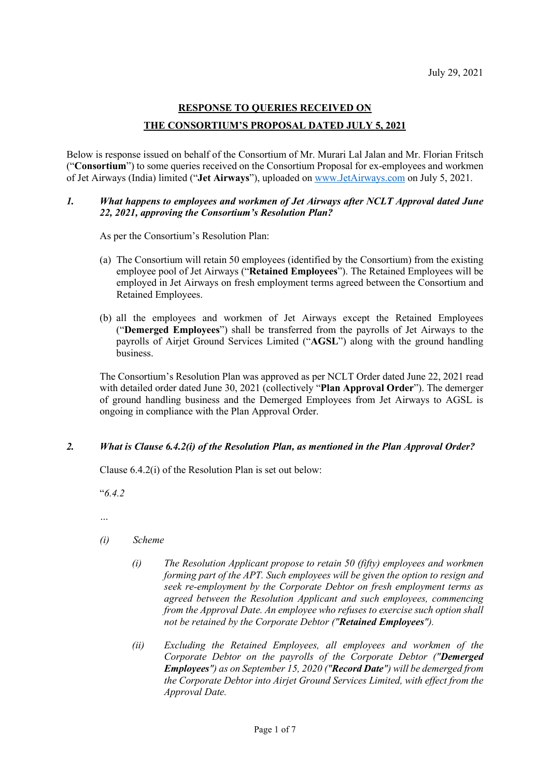# **RESPONSE TO QUERIES RECEIVED ON THE CONSORTIUM'S PROPOSAL DATED JULY 5, 2021**

Below is response issued on behalf of the Consortium of Mr. Murari Lal Jalan and Mr. Florian Fritsch ("**Consortium**") to some queries received on the Consortium Proposal for ex-employees and workmen of Jet Airways (India) limited ("**Jet Airways**"), uploaded on [www.JetAirways.com](http://www.jetairways.com/) on July 5, 2021.

### *1. What happens to employees and workmen of Jet Airways after NCLT Approval dated June 22, 2021, approving the Consortium's Resolution Plan?*

As per the Consortium's Resolution Plan:

- (a) The Consortium will retain 50 employees (identified by the Consortium) from the existing employee pool of Jet Airways ("**Retained Employees**"). The Retained Employees will be employed in Jet Airways on fresh employment terms agreed between the Consortium and Retained Employees.
- (b) all the employees and workmen of Jet Airways except the Retained Employees ("**Demerged Employees**") shall be transferred from the payrolls of Jet Airways to the payrolls of Airjet Ground Services Limited ("**AGSL**") along with the ground handling business.

The Consortium's Resolution Plan was approved as per NCLT Order dated June 22, 2021 read with detailed order dated June 30, 2021 (collectively "**Plan Approval Order**"). The demerger of ground handling business and the Demerged Employees from Jet Airways to AGSL is ongoing in compliance with the Plan Approval Order.

# *2. What is Clause 6.4.2(i) of the Resolution Plan, as mentioned in the Plan Approval Order?*

Clause 6.4.2(i) of the Resolution Plan is set out below:

"*6.4.2*

*…*

- *(i) Scheme*
	- *(i) The Resolution Applicant propose to retain 50 (fifty) employees and workmen forming part of the APT. Such employees will be given the option to resign and seek re-employment by the Corporate Debtor on fresh employment terms as agreed between the Resolution Applicant and such employees, commencing from the Approval Date. An employee who refuses to exercise such option shall not be retained by the Corporate Debtor ("Retained Employees").*
	- *(ii) Excluding the Retained Employees, all employees and workmen of the Corporate Debtor on the payrolls of the Corporate Debtor ("Demerged Employees") as on September 15, 2020 ("Record Date") will be demerged from the Corporate Debtor into Airjet Ground Services Limited, with effect from the Approval Date.*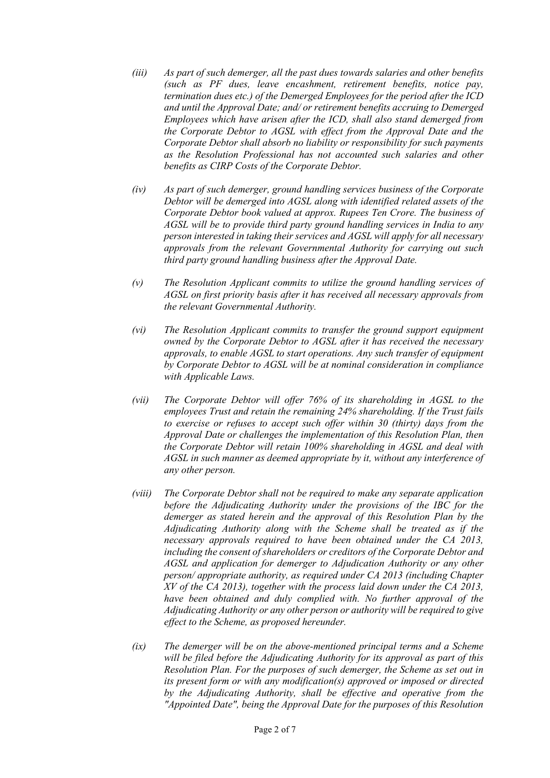- *(iii) As part of such demerger, all the past dues towards salaries and other benefits (such as PF dues, leave encashment, retirement benefits, notice pay, termination dues etc.) of the Demerged Employees for the period after the ICD and until the Approval Date; and/ or retirement benefits accruing to Demerged Employees which have arisen after the ICD, shall also stand demerged from the Corporate Debtor to AGSL with effect from the Approval Date and the Corporate Debtor shall absorb no liability or responsibility for such payments as the Resolution Professional has not accounted such salaries and other benefits as CIRP Costs of the Corporate Debtor.*
- *(iv) As part of such demerger, ground handling services business of the Corporate Debtor will be demerged into AGSL along with identified related assets of the Corporate Debtor book valued at approx. Rupees Ten Crore. The business of AGSL will be to provide third party ground handling services in India to any person interested in taking their services and AGSL will apply for all necessary approvals from the relevant Governmental Authority for carrying out such third party ground handling business after the Approval Date.*
- *(v) The Resolution Applicant commits to utilize the ground handling services of AGSL on first priority basis after it has received all necessary approvals from the relevant Governmental Authority.*
- *(vi) The Resolution Applicant commits to transfer the ground support equipment owned by the Corporate Debtor to AGSL after it has received the necessary approvals, to enable AGSL to start operations. Any such transfer of equipment by Corporate Debtor to AGSL will be at nominal consideration in compliance with Applicable Laws.*
- *(vii) The Corporate Debtor will offer 76% of its shareholding in AGSL to the employees Trust and retain the remaining 24% shareholding. If the Trust fails to exercise or refuses to accept such offer within 30 (thirty) days from the Approval Date or challenges the implementation of this Resolution Plan, then the Corporate Debtor will retain 100% shareholding in AGSL and deal with AGSL in such manner as deemed appropriate by it, without any interference of any other person.*
- *(viii) The Corporate Debtor shall not be required to make any separate application before the Adjudicating Authority under the provisions of the IBC for the demerger as stated herein and the approval of this Resolution Plan by the Adjudicating Authority along with the Scheme shall be treated as if the necessary approvals required to have been obtained under the CA 2013, including the consent of shareholders or creditors of the Corporate Debtor and AGSL and application for demerger to Adjudication Authority or any other person/ appropriate authority, as required under CA 2013 (including Chapter XV of the CA 2013), together with the process laid down under the CA 2013, have been obtained and duly complied with. No further approval of the Adjudicating Authority or any other person or authority will be required to give effect to the Scheme, as proposed hereunder.*
- *(ix) The demerger will be on the above-mentioned principal terms and a Scheme will be filed before the Adjudicating Authority for its approval as part of this Resolution Plan. For the purposes of such demerger, the Scheme as set out in its present form or with any modification(s) approved or imposed or directed by the Adjudicating Authority, shall be effective and operative from the "Appointed Date", being the Approval Date for the purposes of this Resolution*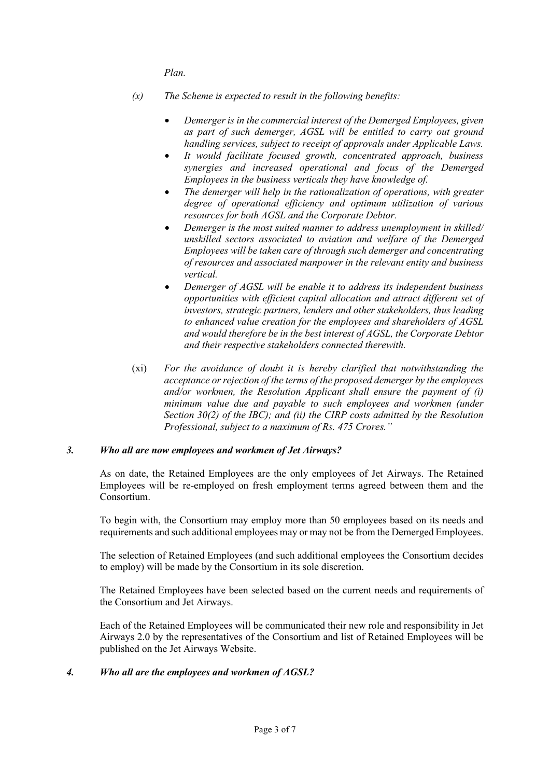*Plan.* 

- *(x) The Scheme is expected to result in the following benefits:*
	- *Demerger is in the commercial interest of the Demerged Employees, given as part of such demerger, AGSL will be entitled to carry out ground handling services, subject to receipt of approvals under Applicable Laws.*
	- *It would facilitate focused growth, concentrated approach, business synergies and increased operational and focus of the Demerged Employees in the business verticals they have knowledge of.*
	- *The demerger will help in the rationalization of operations, with greater degree of operational efficiency and optimum utilization of various resources for both AGSL and the Corporate Debtor.*
	- *Demerger is the most suited manner to address unemployment in skilled/ unskilled sectors associated to aviation and welfare of the Demerged Employees will be taken care of through such demerger and concentrating of resources and associated manpower in the relevant entity and business vertical.*
	- *Demerger of AGSL will be enable it to address its independent business opportunities with efficient capital allocation and attract different set of investors, strategic partners, lenders and other stakeholders, thus leading to enhanced value creation for the employees and shareholders of AGSL and would therefore be in the best interest of AGSL, the Corporate Debtor and their respective stakeholders connected therewith.*
- (xi) *For the avoidance of doubt it is hereby clarified that notwithstanding the acceptance or rejection of the terms of the proposed demerger by the employees and/or workmen, the Resolution Applicant shall ensure the payment of (i) minimum value due and payable to such employees and workmen (under Section 30(2) of the IBC); and (ii) the CIRP costs admitted by the Resolution Professional, subject to a maximum of Rs. 475 Crores."*

# *3. Who all are now employees and workmen of Jet Airways?*

As on date, the Retained Employees are the only employees of Jet Airways. The Retained Employees will be re-employed on fresh employment terms agreed between them and the Consortium.

To begin with, the Consortium may employ more than 50 employees based on its needs and requirements and such additional employees may or may not be from the Demerged Employees.

The selection of Retained Employees (and such additional employees the Consortium decides to employ) will be made by the Consortium in its sole discretion.

The Retained Employees have been selected based on the current needs and requirements of the Consortium and Jet Airways.

Each of the Retained Employees will be communicated their new role and responsibility in Jet Airways 2.0 by the representatives of the Consortium and list of Retained Employees will be published on the Jet Airways Website.

# *4. Who all are the employees and workmen of AGSL?*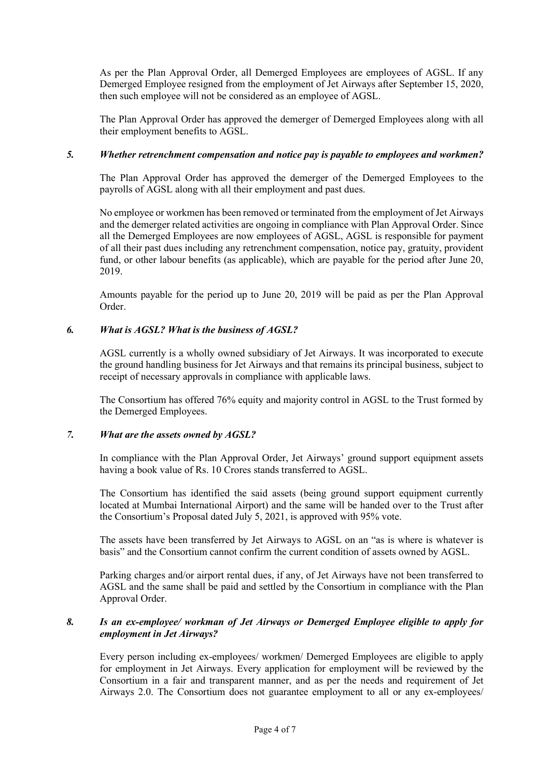As per the Plan Approval Order, all Demerged Employees are employees of AGSL. If any Demerged Employee resigned from the employment of Jet Airways after September 15, 2020, then such employee will not be considered as an employee of AGSL.

The Plan Approval Order has approved the demerger of Demerged Employees along with all their employment benefits to AGSL.

# *5. Whether retrenchment compensation and notice pay is payable to employees and workmen?*

The Plan Approval Order has approved the demerger of the Demerged Employees to the payrolls of AGSL along with all their employment and past dues.

No employee or workmen has been removed or terminated from the employment of Jet Airways and the demerger related activities are ongoing in compliance with Plan Approval Order. Since all the Demerged Employees are now employees of AGSL, AGSL is responsible for payment of all their past dues including any retrenchment compensation, notice pay, gratuity, provident fund, or other labour benefits (as applicable), which are payable for the period after June 20, 2019.

Amounts payable for the period up to June 20, 2019 will be paid as per the Plan Approval Order.

### *6. What is AGSL? What is the business of AGSL?*

AGSL currently is a wholly owned subsidiary of Jet Airways. It was incorporated to execute the ground handling business for Jet Airways and that remains its principal business, subject to receipt of necessary approvals in compliance with applicable laws.

The Consortium has offered 76% equity and majority control in AGSL to the Trust formed by the Demerged Employees.

# *7. What are the assets owned by AGSL?*

In compliance with the Plan Approval Order, Jet Airways' ground support equipment assets having a book value of Rs. 10 Crores stands transferred to AGSL.

The Consortium has identified the said assets (being ground support equipment currently located at Mumbai International Airport) and the same will be handed over to the Trust after the Consortium's Proposal dated July 5, 2021, is approved with 95% vote.

The assets have been transferred by Jet Airways to AGSL on an "as is where is whatever is basis" and the Consortium cannot confirm the current condition of assets owned by AGSL.

Parking charges and/or airport rental dues, if any, of Jet Airways have not been transferred to AGSL and the same shall be paid and settled by the Consortium in compliance with the Plan Approval Order.

### *8. Is an ex-employee/ workman of Jet Airways or Demerged Employee eligible to apply for employment in Jet Airways?*

Every person including ex-employees/ workmen/ Demerged Employees are eligible to apply for employment in Jet Airways. Every application for employment will be reviewed by the Consortium in a fair and transparent manner, and as per the needs and requirement of Jet Airways 2.0. The Consortium does not guarantee employment to all or any ex-employees/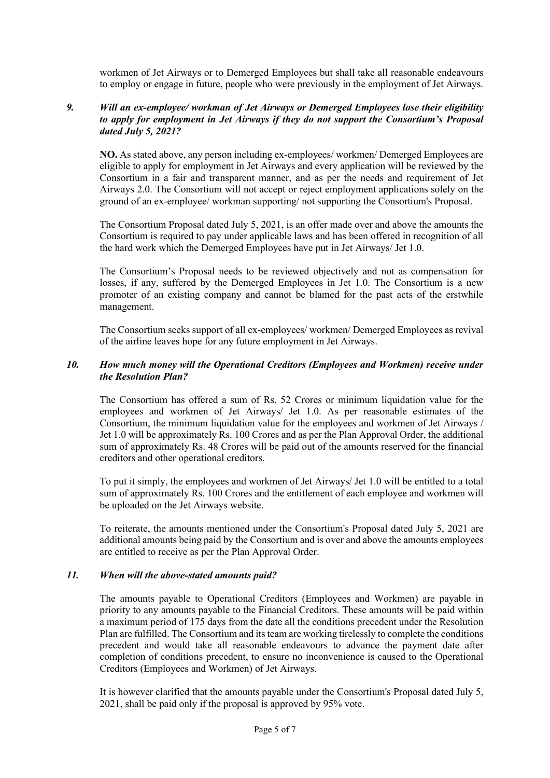workmen of Jet Airways or to Demerged Employees but shall take all reasonable endeavours to employ or engage in future, people who were previously in the employment of Jet Airways.

### *9. Will an ex-employee/ workman of Jet Airways or Demerged Employees lose their eligibility to apply for employment in Jet Airways if they do not support the Consortium's Proposal dated July 5, 2021?*

**NO.** As stated above, any person including ex-employees/ workmen/ Demerged Employees are eligible to apply for employment in Jet Airways and every application will be reviewed by the Consortium in a fair and transparent manner, and as per the needs and requirement of Jet Airways 2.0. The Consortium will not accept or reject employment applications solely on the ground of an ex-employee/ workman supporting/ not supporting the Consortium's Proposal.

The Consortium Proposal dated July 5, 2021, is an offer made over and above the amounts the Consortium is required to pay under applicable laws and has been offered in recognition of all the hard work which the Demerged Employees have put in Jet Airways/ Jet 1.0.

The Consortium's Proposal needs to be reviewed objectively and not as compensation for losses, if any, suffered by the Demerged Employees in Jet 1.0. The Consortium is a new promoter of an existing company and cannot be blamed for the past acts of the erstwhile management.

The Consortium seeks support of all ex-employees/ workmen/ Demerged Employees as revival of the airline leaves hope for any future employment in Jet Airways.

### *10. How much money will the Operational Creditors (Employees and Workmen) receive under the Resolution Plan?*

The Consortium has offered a sum of Rs. 52 Crores or minimum liquidation value for the employees and workmen of Jet Airways/ Jet 1.0. As per reasonable estimates of the Consortium, the minimum liquidation value for the employees and workmen of Jet Airways / Jet 1.0 will be approximately Rs. 100 Crores and as per the Plan Approval Order, the additional sum of approximately Rs. 48 Crores will be paid out of the amounts reserved for the financial creditors and other operational creditors.

To put it simply, the employees and workmen of Jet Airways/ Jet 1.0 will be entitled to a total sum of approximately Rs. 100 Crores and the entitlement of each employee and workmen will be uploaded on the Jet Airways website.

To reiterate, the amounts mentioned under the Consortium's Proposal dated July 5, 2021 are additional amounts being paid by the Consortium and is over and above the amounts employees are entitled to receive as per the Plan Approval Order.

#### *11. When will the above-stated amounts paid?*

The amounts payable to Operational Creditors (Employees and Workmen) are payable in priority to any amounts payable to the Financial Creditors. These amounts will be paid within a maximum period of 175 days from the date all the conditions precedent under the Resolution Plan are fulfilled. The Consortium and its team are working tirelessly to complete the conditions precedent and would take all reasonable endeavours to advance the payment date after completion of conditions precedent, to ensure no inconvenience is caused to the Operational Creditors (Employees and Workmen) of Jet Airways.

It is however clarified that the amounts payable under the Consortium's Proposal dated July 5, 2021, shall be paid only if the proposal is approved by 95% vote.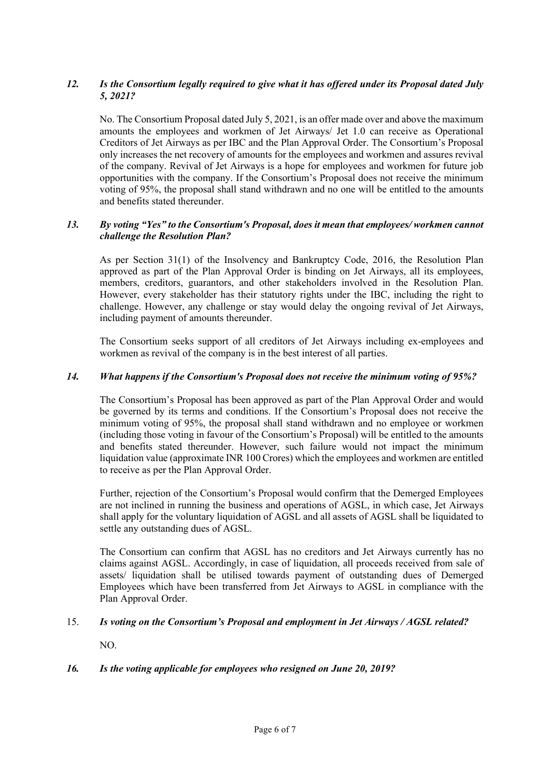# *12. Is the Consortium legally required to give what it has offered under its Proposal dated July 5, 2021?*

No. The Consortium Proposal dated July 5, 2021, is an offer made over and above the maximum amounts the employees and workmen of Jet Airways/ Jet 1.0 can receive as Operational Creditors of Jet Airways as per IBC and the Plan Approval Order. The Consortium's Proposal only increases the net recovery of amounts for the employees and workmen and assures revival of the company. Revival of Jet Airways is a hope for employees and workmen for future job opportunities with the company. If the Consortium's Proposal does not receive the minimum voting of 95%, the proposal shall stand withdrawn and no one will be entitled to the amounts and benefits stated thereunder.

# *13. By voting "Yes" to the Consortium's Proposal, does it mean that employees/ workmen cannot challenge the Resolution Plan?*

As per Section 31(1) of the Insolvency and Bankruptcy Code, 2016, the Resolution Plan approved as part of the Plan Approval Order is binding on Jet Airways, all its employees, members, creditors, guarantors, and other stakeholders involved in the Resolution Plan. However, every stakeholder has their statutory rights under the IBC, including the right to challenge. However, any challenge or stay would delay the ongoing revival of Jet Airways, including payment of amounts thereunder.

The Consortium seeks support of all creditors of Jet Airways including ex-employees and workmen as revival of the company is in the best interest of all parties.

### *14. What happens if the Consortium's Proposal does not receive the minimum voting of 95%?*

The Consortium's Proposal has been approved as part of the Plan Approval Order and would be governed by its terms and conditions. If the Consortium's Proposal does not receive the minimum voting of 95%, the proposal shall stand withdrawn and no employee or workmen (including those voting in favour of the Consortium's Proposal) will be entitled to the amounts and benefits stated thereunder. However, such failure would not impact the minimum liquidation value (approximate INR 100 Crores) which the employees and workmen are entitled to receive as per the Plan Approval Order.

Further, rejection of the Consortium's Proposal would confirm that the Demerged Employees are not inclined in running the business and operations of AGSL, in which case, Jet Airways shall apply for the voluntary liquidation of AGSL and all assets of AGSL shall be liquidated to settle any outstanding dues of AGSL.

The Consortium can confirm that AGSL has no creditors and Jet Airways currently has no claims against AGSL. Accordingly, in case of liquidation, all proceeds received from sale of assets/ liquidation shall be utilised towards payment of outstanding dues of Demerged Employees which have been transferred from Jet Airways to AGSL in compliance with the Plan Approval Order.

### 15. *Is voting on the Consortium's Proposal and employment in Jet Airways / AGSL related?*

NO.

# *16. Is the voting applicable for employees who resigned on June 20, 2019?*